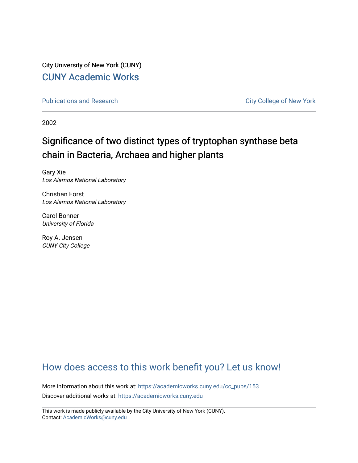City University of New York (CUNY) [CUNY Academic Works](https://academicworks.cuny.edu/) 

[Publications and Research](https://academicworks.cuny.edu/cc_pubs) **City College of New York** Publications and Research

2002

# Significance of two distinct types of tryptophan synthase beta chain in Bacteria, Archaea and higher plants

Gary Xie Los Alamos National Laboratory

Christian Forst Los Alamos National Laboratory

Carol Bonner University of Florida

Roy A. Jensen CUNY City College

## [How does access to this work benefit you? Let us know!](http://ols.cuny.edu/academicworks/?ref=https://academicworks.cuny.edu/cc_pubs/153)

More information about this work at: [https://academicworks.cuny.edu/cc\\_pubs/153](https://academicworks.cuny.edu/cc_pubs/153)  Discover additional works at: [https://academicworks.cuny.edu](https://academicworks.cuny.edu/?)

This work is made publicly available by the City University of New York (CUNY). Contact: [AcademicWorks@cuny.edu](mailto:AcademicWorks@cuny.edu)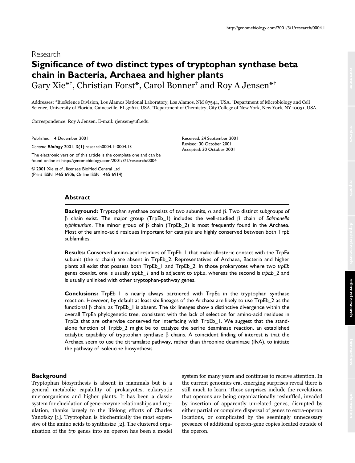## Research **Significance of two distinct types of tryptophan synthase beta chain in Bacteria, Archaea and higher plants** Gary Xie\*†, Christian Forst\*, Carol Bonner† and Roy A Jensen\*‡

Addresses: \*BioScience Division, Los Alamos National Laboratory, Los Alamos, NM 87544, USA. †Department of Microbiology and Cell Science, University of Florida, Gainesville, FL 32611, USA. ‡Department of Chemistry, City College of New York, New York, NY 10031, USA.

Correspondence: Roy A Jensen. E-mail: rjensen@ufl.edu

Published: 14 December 2001

*Genome Biology* 2001, **3(1)**:research0004.1–0004.13

The electronic version of this article is the complete one and can be found online at http://genomebiology.com/2001/3/1/research/0004

© 2001 Xie *et al*., licensee BioMed Central Ltd (Print ISSN 1465-6906; Online ISSN 1465-6914) Received: 24 September 2001 Revised: 30 October 2001 Accepted: 30 October 2001

## **Abstract**

**Background:** Tryptophan synthase consists of two subunits,  $\alpha$  and  $\beta$ . Two distinct subgroups of  $\beta$  chain exist. The major group (TrpEb\_1) includes the well-studied  $\beta$  chain of Salmonella  $t$ yphimurium. The minor group of  $\beta$  chain (TrpEb\_2) is most frequently found in the Archaea. Most of the amino-acid residues important for catalysis are highly conserved between both TrpE subfamilies.

**Results:** Conserved amino-acid residues of TrpEb\_1 that make allosteric contact with the TrpEa subunit (the  $\alpha$  chain) are absent in TrpEb\_2. Representatives of Archaea, Bacteria and higher plants all exist that possess both TrpEb\_1 and TrpEb\_2. In those prokaryotes where two *trpEb* genes coexist, one is usually *trpEb\_1* and is adjacent to *trpEa*, whereas the second is *trpEb\_2* and is usually unlinked with other tryptophan-pathway genes.

**Conclusions:** TrpEb\_1 is nearly always partnered with TrpEa in the tryptophan synthase reaction. However, by default at least six lineages of the Archaea are likely to use TrpEb 2 as the functional  $\beta$  chain, as TrpEb\_1 is absent. The six lineages show a distinctive divergence within the overall TrpEa phylogenetic tree, consistent with the lack of selection for amino-acid residues in TrpEa that are otherwise conserved for interfacing with TrpEb\_1. We suggest that the standalone function of TrpEb\_2 might be to catalyze the serine deaminase reaction, an established catalytic capability of tryptophan synthase  $\beta$  chains. A coincident finding of interest is that the Archaea seem to use the citramalate pathway, rather than threonine deaminase (IlvA), to initiate the pathway of isoleucine biosynthesis.

### **Background**

Tryptophan biosynthesis is absent in mammals but is a general metabolic capability of prokaryotes, eukaryotic microorganisms and higher plants. It has been a classic system for elucidation of gene-enzyme relationships and regulation, thanks largely to the lifelong efforts of Charles Yanofsky [1]. Tryptophan is biochemically the most expensive of the amino acids to synthesize [2]. The clustered organization of the trp genes into an operon has been a model system for many years and continues to receive attention. In the current genomics era, emerging surprises reveal there is still much to learn. These surprises include the revelations that operons are being organizationally reshuffled, invaded by insertion of apparently unrelated genes, disrupted by either partial or complete dispersal of genes to extra-operon locations, or complicated by the seemingly unnecessary presence of additional operon-gene copies located outside of the operon.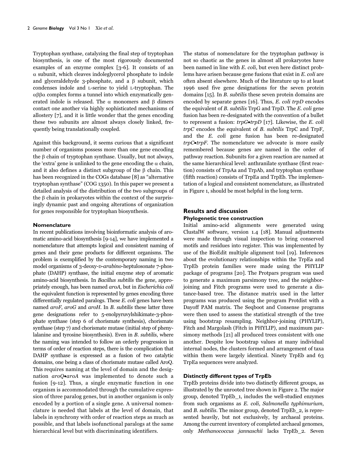Tryptophan synthase, catalyzing the final step of tryptophan biosynthesis, is one of the most rigorously documented examples of an enzyme complex [3-6]. It consists of an  $\alpha$  subunit, which cleaves indoleglycerol phosphate to indole and glyceraldehyde 3-phosphate, and a  $\beta$  subunit, which condenses indole and L-serine to yield L-tryptophan. The  $\alpha\beta\beta\alpha$  complex forms a tunnel into which enzymatically generated indole is released. The  $\alpha$  monomers and  $\beta$  dimers contact one another via highly sophisticated mechanisms of allostery [7], and it is little wonder that the genes encoding these two subunits are almost always closely linked, frequently being translationally coupled.

Against this background, it seems curious that a significant number of organisms possess more than one gene encoding the  $\upbeta$  chain of tryptophan synthase. Usually, but not always, the 'extra' gene is unlinked to the gene encoding the  $\alpha$  chain, and it also defines a distinct subgroup of the  $\beta$  chain. This has been recognized in the COGs database [8] as "alternative tryptophan synthase" (COG 1350). In this paper we present a detailed analysis of the distribution of the two subgroups of the  $\beta$  chain in prokaryotes within the context of the surprisingly dynamic past and ongoing alterations of organization for genes responsible for tryptophan biosynthesis.

### **Nomenclature**

In recent publications involving bioinformatic analysis of aromatic amino-acid biosynthesis [9-14], we have implemented a nomenclature that attempts logical and consistent naming of genes and their gene products for different organisms. The problem is exemplified by the contemporary naming in two model organisms of 3-deoxy-D-arabino-heptulosonate 7-phosphate (DAHP) synthase, the initial enzyme step of aromatic amino-acid biosynthesis. In Bacillus subtilis the gene, appropriately enough, has been named aroA, but in Escherichia coli the equivalent function is represented by genes encoding three differentially regulated paralogs. These E. coli genes have been named aroF, aroG and aroH. In B. subtilis these latter three gene designations refer to 5-enolpyruvylshikimate-3-phosphate synthase (step 6 of chorismate synthesis), chorismate synthase (step 7) and chorismate mutase (initial step of phenylalanine and tyrosine biosynthesis). Even in  $B$ . subtilis, where the naming was intended to follow an orderly progression in terms of order of reaction steps, there is the complication that DAHP synthase is expressed as a fusion of two catalytic domains, one being a class of chorismate mutase called AroQ. This requires naming at the level of domain and the designation aroQ•aroA was implemented to denote such a fusion [9-12]. Thus, a single enzymatic function in one organism is accommodated through the cumulative expression of three paralog genes, but in another organism is only encoded by a portion of a single gene. A universal nomenclature is needed that labels at the level of domain, that labels in synchrony with order of reaction steps as much as possible, and that labels isofunctional paralogs at the same hierarchical level but with discriminating identifiers.

The status of nomenclature for the tryptophan pathway is not so chaotic as the genes in almost all prokaryotes have been named in line with E. coli, but even here distinct problems have arisen because gene fusions that exist in E. coli are often absent elsewhere. Much of the literature up to at least 1996 used five gene designations for the seven protein domains [15]. In B. subtilis these seven protein domains are encoded by separate genes [16]. Thus, E. coli trpD encodes the equivalent of B. subtilis TrpG and TrpD. The E. coli gene fusion has been re-designated with the convention of a bullet to represent a fusion:  $trpG\bullet trpD$  [17]. Likewise, the E. coli trpC encodes the equivalent of B. subtilis TrpC and TrpF, and the E. coli gene fusion has been re-designated  $trpC-$ **trpF**. The nomenclature we advocate is more easily remembered because genes are named in the order of pathway reaction. Subunits for a given reaction are named at the same hierarchical level: anthranilate synthase (first reaction) consists of TrpAa and TrpAb, and tryptophan synthase (fifth reaction) consists of TrpEa and TrpEb. The implementation of a logical and consistent nomenclature, as illustrated in Figure 1, should be most helpful in the long term.

## **Results and discussion Phylogenetic tree construction**

Initial amino-acid alignments were generated using ClustalW software, version 1.4 [18]. Manual adjustments were made through visual inspection to bring conserved motifs and residues into register. This was implemented by use of the BioEdit multiple alignment tool [19]. Inferences about the evolutionary relationships within the TrpEa and TrpEb protein families were made using the PHYLIP package of programs [20]. The Protpars program was used to generate a maximum parsimony tree, and the neighborjoining and Fitch programs were used to generate a distance-based tree. The distance matrix used in the latter programs was produced using the program Protdist with a Dayoff PAM matrix. The Seqboot and Consense programs were then used to assess the statistical strength of the tree using bootstrap resampling. Neighbor-joining (PHYLIP), Fitch and Margolash (Fitch in PHYLIP), and maximum parsimony methods [21] all produced trees consistent with one another. Despite low bootstrap values at many individual internal nodes, the clusters formed and arrangement of taxa within them were largely identical. Ninety TrpEb and 63 TrpEa sequences were analyzed.

### **Distinctly different types of TrpEb**

TrpEb proteins divide into two distinctly different groups, as illustrated by the unrooted tree shown in Figure 2. The major group, denoted TrpEb\_1, includes the well-studied enzymes from such organisms as E. coli, Salmonella typhimurium, and *B*. *subtilis*. The minor group, denoted TrpEb 2, is represented heavily, but not exclusively, by archaeal proteins. Among the current inventory of completed archaeal genomes, only Methanococcus jannaschii lacks TrpEb\_2. Seven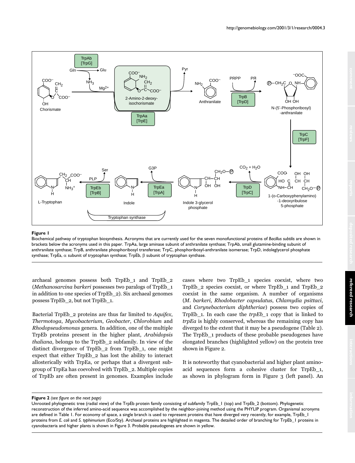

Biochemical pathway of tryptophan biosynthesis. Acronyms that are currently used for the seven monofunctional proteins of *Bacillus subtilis* are shown in brackets below the acronyms used in this paper. TrpAa, large aminase subunit of anthranilate synthase; TrpAb, small glutamine-binding subunit of anthranilate synthase; TrpB, anthranilate phosphoribosyl transferase; TrpC, phosphoribosyl-anthranilate isomerase; TrpD, indoleglycerol phosphate synthase; TrpEa,  $\alpha$  subunit of tryptophan synthase; TrpEb,  $\beta$  subunit of tryptophan synthase.

archaeal genomes possess both TrpEb\_1 and TrpEb\_2 (Methanosarcina barkeri possesses two paralogs of TrpEb\_1 in addition to one species of TrpEb\_2). Six archaeal genomes possess TrpEb\_2, but not TrpEb\_1.

Bacterial TrpEb\_2 proteins are thus far limited to Aquifex, Thermotoga, Mycobacterium, Geobacter, Chlorobium and Rhodopseudomonas genera. In addition, one of the multiple TrpEb proteins present in the higher plant, Arabidopsis thaliana, belongs to the TrpEb\_2 subfamily. In view of the distinct divergence of TrpEb\_2 from TrpEb\_1, one might expect that either TrpEb\_2 has lost the ability to interact allosterically with TrpEa, or perhaps that a divergent subgroup of TrpEa has coevolved with TrpEb\_2. Multiple copies of TrpEb are often present in genomes. Examples include cases where two TrpEb\_1 species coexist, where two TrpEb\_2 species coexist, or where TrpEb\_1 and TrpEb\_2 coexist in the same organism. A number of organisms (M. barkeri, Rhodobacter capsulatus, Chlamydia psittaci, and Corynebacterium diphtheriae) possess two copies of TrpEb\_1. In each case the trpEb\_1 copy that is linked to trpEa is highly conserved, whereas the remaining copy has diverged to the extent that it may be a pseudogene (Table 2). The TrpEb 1 products of these probable pseudogenes have elongated branches (highlighted yellow) on the protein tree shown in Figure 2.

It is noteworthy that cyanobacterial and higher plant aminoacid sequences form a cohesive cluster for TrpEb\_1, as shown in phylogram form in Figure 3 (left panel). An

#### **Figure 2** *(see figure on the next page)*

Unrooted phylogenetic tree (radial view) of the TrpEb protein family consisting of subfamily TrpEb\_1 (top) and TrpEb\_2 (bottom). Phylogenetic reconstruction of the inferred amino-acid sequence was accomplished by the neighbor-joining method using the PHYLIP program. Organismal acronyms are defined in Table 1. For economy of space, a single branch is used to represent proteins that have diverged very recently, for example, TrpEb\_1 proteins from *E. coli* and *S. typhimurium* (Eco/Sty). Archaeal proteins are highlighted in magenta. The detailed order of branching for TrpEb\_1 proteins in cyanobacteria and higher plants is shown in Figure 3. Probable pseudogenes are shown in yellow.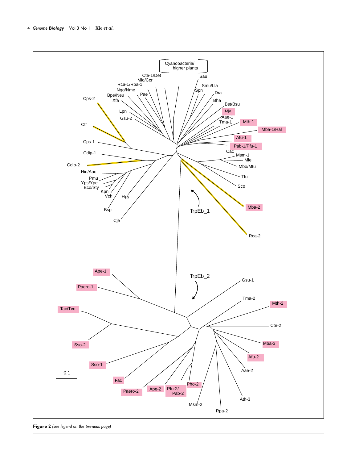

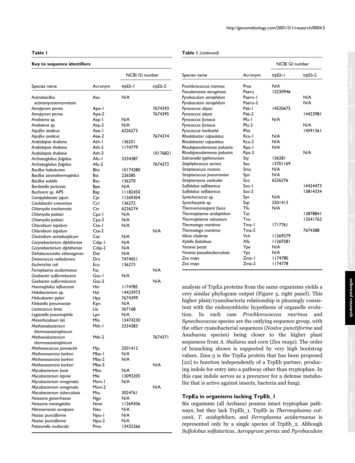#### **Key to sequence identifiers**

#### **Table 1** *(continued)*

|                                                  |                  | NCBI GI number    |          |
|--------------------------------------------------|------------------|-------------------|----------|
| Species name                                     | Acronym          | trpEb- I          | trpEb-2  |
| Actinobacillus                                   | Aac              | N/A               |          |
| actinomycetemcomitans                            |                  |                   |          |
| Aeropyrum pernix                                 | Ape-1            |                   | 7674393  |
| Aeropyrum pernix                                 | Ape-2            |                   | 7674395  |
| Anabaena sp.                                     | Asp-1            | N/A               |          |
| Anabaena sp.                                     | Asp-2            | N/A               |          |
| Aquifex aeolicus                                 | Aae- I           | 6226273           |          |
| Aquifex aeolicus                                 | Aae-2            |                   | 7674374  |
| Arabidopsis thaliana                             | Ath-I            | 136251            |          |
| Arabidopsis thaliana                             | Ath-2            | 1174779           |          |
| Arabidopsis thaliana                             | Ath-3            |                   | 10176821 |
| Archaeoglobus fulgidus                           | Afu-1            | 3334387           |          |
| Archaeoglobus fulgidus                           | Afu-2            |                   | 7674372  |
| <b>Bacillus halodurans</b>                       | Bha              | 10174280          |          |
| Bacillus stearothermophilus                      | Bst              | 226585            |          |
| <b>Bacillus subtilis</b>                         | Bsu              | 136270            |          |
| Bordetella pertussis                             | Bpe              | N/A               |          |
| Buchnera sp. APS                                 | Bsp              | 82450             |          |
| Campylobacter jejuni                             | Cje              | 11269304          |          |
| Caulobacter crescentus                           | Ccr              | 136272<br>6226274 |          |
| Chlamydia trachomatis                            | Ctr              | N/A               |          |
| Chlamydia psittaci<br>Chlamydia psittaci         | Cps-1<br>$Cps-2$ | N/A               |          |
| Chlorobium tepidum                               | Cte-1            | N/A               |          |
| Chlorobium tepidum                               | $Cte-2$          |                   | N/A      |
| Clostridium acetobutylicum                       | Cac              | N/A               |          |
| Corynebacterium diphtheriae                      | Cdip-1           | N/A               |          |
| Corynebacterium diphtheriae                      | Cdip-2           | N/A               |          |
| Dehalococcoides ethenogenes                      | Det              | N/A               |          |
| Deinococcus radiodurans                          | Dra              | 7474051           |          |
| Escherichia coli                                 | Eco              | 136273            |          |
| Ferroplasma acidarmanus                          | Fac              |                   | N/A      |
| Geobacter sulfurreducens                         | Gsu-I            | N/A               |          |
| Geobacter sulfurreducens                         | Gsu-2            |                   | N/A      |
| Haemophilus influenzae                           | Hin              | 1174785           |          |
| Halobacterium sp.                                | Hal              | 14423973          |          |
| Helicobacter pylori                              | Hpy              | 7674399           |          |
| Klebsiella pneumoniae                            | Kpn              | N/A               |          |
| Lactococcus lactis                               | Lla              | 267168            |          |
| Legionella pneumophila                           | Lpn              | N/A               |          |
| Mesorhizobium loti                               | Mlo              | 13474230          |          |
| Methanobacterium                                 | Mth-1            | 3334383           |          |
| thermoautotrophicum                              |                  |                   |          |
| Methanobacterium                                 | Mth-2            |                   | 7674371  |
| thermoautotrophicum                              |                  |                   |          |
| Methanococcus jannaschii                         | Mja<br>Mba-1     | 2501412<br>N/A    |          |
| Methanosarcina barkeri<br>Methanosarcina barkeri | Mba-2            | N/A               |          |
| Methanosarcina barkeri                           | $Mba-3$          |                   | N/A      |
|                                                  | Mbo              | N/A               |          |
| Mycobacterium bovis<br>Mycobacterium leprae      | Mle              | 13093205          |          |
| Mycobacterium smegmatis                          | Msm-1            | N/A               |          |
| Mycobacterium smegmatis                          | $Msm-2$          |                   | N/A      |
| Mycobacterium tuberculosis                       | Mtu              | 3024761           |          |
| Neisseria gonorrhoeae                            | Ngo              | N/A               |          |
| Neisseria meningitides                           | Nme              | 11269306          |          |
| Nitrosomonas europaea                            | Neu              | N/A               |          |
| Nostoc punctiforme                               | Npu-1            | N/A               |          |
| Nostoc punctiforme                               | Npu-2            | N/A               |          |
| Pasteurella multocida                            | Pmu              | 13432266          |          |
|                                                  |                  |                   |          |

|                             |         | <b>NCBI GI number</b> |          |  |
|-----------------------------|---------|-----------------------|----------|--|
| Species name                | Acronym | trpEb-1               | trpEb-2  |  |
| Prochlorococcus marinus     | Pma     | N/A                   |          |  |
| Pseudomonas aeruginosa      | Paeru   | 12230946              |          |  |
| Pyrobaculum aerophilum      | Paero-1 |                       | N/A      |  |
| Pyrobaculum aerophilum      | Paero-2 |                       | N/A      |  |
| Pyrococcus abyssi           | Pab-1   | 14520675              |          |  |
| Pyrococcus abyssi           | Pab-2   |                       | 14423981 |  |
| Pyrococcus furiosus         | Pfu-I   | N/A                   |          |  |
| Pyrococcus furiosus         | Pfu-2   |                       | N/A      |  |
| Pyrococcus horikoshii       | Pho     |                       | 14591361 |  |
| Rhodobacter capsulatus      | Rca-I   | N/A                   |          |  |
| Rhodobacter capsulatus      | Rca-2   | N/A                   |          |  |
| Rhodopseudomonas palustris  | Rpa-1   | N/A                   |          |  |
| Rhodopseudomonas palustris  | Rpa-2   |                       | N/A      |  |
| Salmonella typhimurium      | Sty     | 136281                |          |  |
| Staphylococcus aureus       | Sau     | 13701169              |          |  |
| Streptococcus mutans        | Smu     | N/A                   |          |  |
| Streptococcus pneumoniae    | Spn     | N/A                   |          |  |
| Streptomyces coelicolor     | Sco     | 6226276               |          |  |
| Sulfolobus solfataricus     | $Sso-1$ |                       | 14424473 |  |
| Sulfolobus solfataricus     | $Sso-2$ |                       | 13814334 |  |
| Synechococcus sp.           | Syn     | N/A                   |          |  |
| Synechocystis sp.           | Ssp     | 2501413               |          |  |
| Thermomonospora fusca       | Tfu     | N/A                   |          |  |
| Thermoplasma acidophilum    | Tac     |                       | 13878841 |  |
| Thermoplasma volcanium      | Tvo     |                       | 13541762 |  |
| Thermotoga maritima         | Tma-1   | 1717761               |          |  |
| Thermotoga maritima         | $Tma-2$ |                       | 7674388  |  |
| Vibrio cholerae             | Vch     | 11269279              |          |  |
| Xylella fastidiosa          | Xfa     | 11269281              |          |  |
| Yersinia pestis             | Ype     | N/A                   |          |  |
| Yersinia pseudotuberculosis | Yps     | N/A                   |          |  |
| Zea mays                    | $Zma-I$ | 1174780               |          |  |
| Zea mays                    | $Zma-2$ | 1174778               |          |  |

analysis of TrpEa proteins from the same organisms yields a very similar phylogram output (Figure 3, right panel). This higher plant/cyanobacteria relationship is pleasingly consistent with the endosymbiotic hypothesis of organelle evolution. In each case Prochlorococcus marinus and Synechococcus species are the outlying sequence group, with the other cyanobacterial sequences (Nostoc punctiforme and Anabaena species) being closer to the higher plant sequences from A. thaliana and corn (Zea mays). The order of branching shown is supported by very high bootstrap values. Zma-3 is the TrpEa protein that has been proposed [22] to function independently of a TrpEb partner, producing indole for entry into a pathway other than tryptophan. In this case indole serves as a precursor for a defense metabolite that is active against insects, bacteria and fungi.

## **TrpEa in organisms lacking TrpEb\_1**

Six organisms (all Archaea) possess intact tryptophan pathways, but they lack TrpEb\_1. TrpEb in Thermoplasma volcanii, T. acidophilum, and Ferroplasma acidarmanus is represented only by a single species of TrpEb\_2. Although Sulfolobus solfataricus, Aeropyrum pernix and Pyrobaculum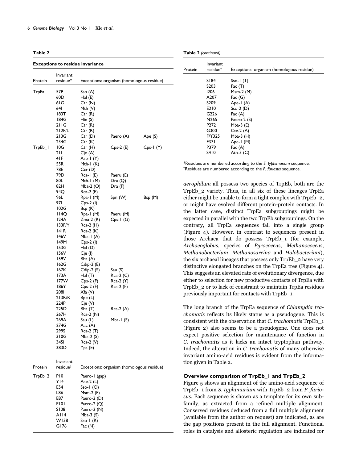| . | .,<br>۰. |
|---|----------|
|   |          |

| <b>Exceptions to residue invariance</b> |                       |                            |                                           |               |  |
|-----------------------------------------|-----------------------|----------------------------|-------------------------------------------|---------------|--|
| Protein                                 | Invariant<br>residue* |                            | Exceptions: organism (homologous residue) |               |  |
| TrpEa                                   | 57P                   | Sso (A)                    |                                           |               |  |
|                                         | 60D                   |                            |                                           |               |  |
|                                         | 61 G                  | Hal (E)<br>Ctr(M)          |                                           |               |  |
|                                         | 641                   | Mth (V)                    |                                           |               |  |
|                                         | 183T                  | Ctr (R)                    |                                           |               |  |
|                                         | 184G                  | Hin (S)                    |                                           |               |  |
|                                         | 21 I G                | Ctr (R)                    |                                           |               |  |
|                                         | 212F/L                | Ctr (R)                    |                                           |               |  |
|                                         | 213G                  | Ctr (D)                    | Paero (A)                                 | Ape (S)       |  |
|                                         | 234G                  | Ctr (K)                    |                                           |               |  |
| TrpEb_I                                 | 10G                   | Ctr (H)                    | $Cps-2(E)$                                | $Cps-1$ $(Y)$ |  |
|                                         | 21 L                  | Cje (A)                    |                                           |               |  |
|                                         | 41F                   | Asp-1 $(Y)$                |                                           |               |  |
|                                         | 55R<br>78E            | Mth- $I(K)$                |                                           |               |  |
|                                         | 79D                   | Cor(D)<br>Rca-I (E)        | Paeru (E)                                 |               |  |
|                                         | 80L                   | Mth-1 (M)                  | Dra (Q)                                   |               |  |
|                                         | 82H                   | Mba-2 $(Q)$                | Dra (F)                                   |               |  |
|                                         | 94Q                   | $Rca-2(E)$                 |                                           |               |  |
|                                         | 96L                   | Rpa-1 (M)                  | Spn (W)                                   | Bsp (M)       |  |
|                                         | 97L                   | $Cps-2$ (l)                |                                           |               |  |
|                                         | 102G                  | Bsp (K)                    |                                           |               |  |
|                                         | 114Q                  | Rpa-1 (M)                  | Paeru (M)                                 |               |  |
|                                         | 124A                  | $Z$ ma-2 $(R)$             | $Cps-1$ (G)                               |               |  |
|                                         | 133F/Y                | $Rca-2(H)$                 |                                           |               |  |
|                                         | 141R<br>146V          | $Rca-2(K)$                 |                                           |               |  |
|                                         | 149M                  | Mba-1 $(A)$<br>$Cps-2$ (l) |                                           |               |  |
|                                         | 153G                  | $\text{Hal}$ (D)           |                                           |               |  |
|                                         | 156V                  | Cje (l)                    |                                           |               |  |
|                                         | 159V                  | Bha (A)                    |                                           |               |  |
|                                         | 162G                  | $C$ dip-2 $(E)$            |                                           |               |  |
|                                         | 167K                  | $C dip-2(S)$               | Sau (S)                                   |               |  |
|                                         | 173A                  | Hal(T)                     | $Rca-2(C)$                                |               |  |
|                                         | 177W                  | $Cps-2(F)$                 | Rca-2 (Y)                                 |               |  |
|                                         | 186Y                  | $Cps-2$ (F)                | Rca-2 (F)                                 |               |  |
|                                         | <b>2081</b>           | Xfa (V)                    |                                           |               |  |
|                                         | 213R/K<br>224P        | Bpe(L)<br>Cje (V)          |                                           |               |  |
|                                         | 225D                  | Bha (T)                    | Rca-2 (A)                                 |               |  |
|                                         | 267H                  | Rca-2 (N)                  |                                           |               |  |
|                                         | 269A                  | Sau (L)                    | Mba-1 $(S)$                               |               |  |
|                                         | 274G                  | Aac (A)                    |                                           |               |  |
|                                         | 299S                  | Rca-2 (T)                  |                                           |               |  |
|                                         | 310G                  | $Mba-2(S)$                 |                                           |               |  |
|                                         | 345I                  | $Rca-2(V)$                 |                                           |               |  |
|                                         | 383D                  | Yps(E)                     |                                           |               |  |
|                                         | Invariant             |                            |                                           |               |  |
| Protein                                 | residue†              |                            | Exceptions: organism (homologous residue) |               |  |
|                                         |                       |                            |                                           |               |  |
| TrpEb_2                                 | PI0<br>YI4            | Paero-I (gap)              |                                           |               |  |
|                                         | E54                   | Aae-2 (L)<br>Sso-I $(Q)$   |                                           |               |  |
|                                         | L86                   | $Msm-2$ (F)                |                                           |               |  |
|                                         | E87                   | Paero-2 (D)                |                                           |               |  |
|                                         | EIOI                  | Paero-2 (Q)                |                                           |               |  |
|                                         | S108                  | Paero-2 (N)                |                                           |               |  |
|                                         | A114                  | $Mba-3(S)$                 |                                           |               |  |
|                                         | W138                  | Sso-I $(R)$                |                                           |               |  |
|                                         | G176                  | Fac $(N)$                  |                                           |               |  |
|                                         |                       |                            |                                           |               |  |

|  | Table 2 (continued) |
|--|---------------------|
|--|---------------------|

| Protein | Invariant<br>residue <sup>†</sup> | Exceptions: organism (homologous residue) |
|---------|-----------------------------------|-------------------------------------------|
|         | S184                              | $Sso-I(T)$                                |
|         | S <sub>203</sub>                  | Fac $(T)$                                 |
|         | 1206                              | $Msm-2$ (M)                               |
|         | A207                              | Fac $(G)$                                 |
|         | S <sub>209</sub>                  | Ape-1 (A)                                 |
|         | E <sub>2</sub> 10                 | $Sso-2$ (D)                               |
|         | G <sub>226</sub>                  | Fac $(A)$                                 |
|         | N <sub>265</sub>                  | Paero-2 (S)                               |
|         | P <sub>272</sub>                  | Mba-3 $(E)$                               |
|         | G300                              | $Cte-2(A)$                                |
|         | F/Y325                            | Mba-3 $(H)$                               |
|         | F371                              | Ape-1 (M)                                 |
|         | P379                              | Fac $(A)$                                 |
|         | S410                              | Ath-3 $(C)$                               |

\*Residues are numbered according to the *S. typhimurium* sequence. †Residues are numbered according to the *P. furiosus* sequence.

aerophilum all possess two species of TrpEb, both are the TrpEb\_2 variety. Thus, in all six of these lineages TrpEa either might be unable to form a tight complex with TrpEb\_2, or might have evolved different protein-protein contacts. In the latter case, distinct TrpEa subgroupings might be expected in parallel with the two TrpEb subgroupings. On the contrary, all TrpEa sequences fall into a single group (Figure 4). However, in contrast to sequences present in those Archaea that do possess TrpEb\_1 (for example, Archaeoglobus, species of Pyrococcus, Methanococcus, Methanobacterium, Methanosarcina and Halobacterium), the six archaeal lineages that possess only TrpEb\_2 have very distinctive elongated branches on the TrpEa tree (Figure 4). This suggests an elevated rate of evolutionary divergence, due either to selection for new productive contacts of TrpEa with TrpEb\_2 or to lack of constraint to maintain TrpEa residues previously important for contacts with TrpEb\_1.

The long branch of the TrpEa sequence of Chlamydia trachomatis reflects its likely status as a pseudogene. This is consistent with the observation that C. trachomatis TrpEb\_1 (Figure 2) also seems to be a pseudogene. One does not expect positive selection for maintenance of function in C. trachomatis as it lacks an intact tryptophan pathway. Indeed, the alteration in C. trachomatis of many otherwise invariant amino-acid residues is evident from the information given in Table 2.

#### **Overview comparison of TrpEb\_1 and TrpEb\_2**

Figure 5 shows an alignment of the amino-acid sequence of TrpEb\_1 from S. typhimurium with TrpEb\_2 from P. furiosus. Each sequence is shown as a template for its own subfamily, as extracted from a refined multiple alignment. Conserved residues deduced from a full multiple alignment (available from the author on request) are indicated, as are the gap positions present in the full alignment. Functional roles in catalysis and allosteric regulation are indicated for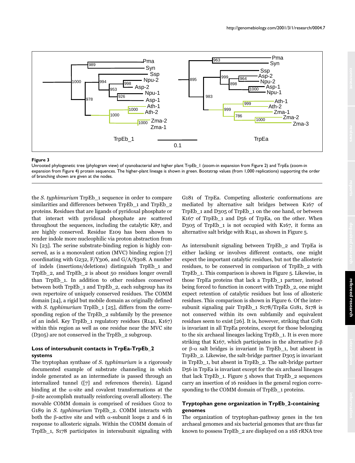

Unrooted phylogenetic tree (phylogram view) of cyanobacterial and higher plant TrpEb\_1 (zoom-in expansion from Figure 2) and TrpEa (zoom-in expansion from Figure 4) protein sequences. The higher-plant lineage is shown in green. Bootstrap values (from 1,000 replications) supporting the order of branching shown are given at the nodes.

the S. typhimurium TrpEb\_1 sequence in order to compare similarities and differences between TrpEb\_1 and TrpEb\_2 proteins. Residues that are ligands of pyridoxal phosphate or that interact with pyridoxal phosphate are scattered throughout the sequences, including the catalytic K87, and are highly conserved. Residue E109 has been shown to render indole more nucleophilic via proton abstraction from N1 [23]. The serine substrate-binding region is highly conserved, as is a monovalent cation (MVC) binding region [7] coordinating with G232,  $F/Y_3$ 06, and G/A/S308. A number of indels (insertions/deletions) distinguish TrpEb\_1 and TrpEb\_2, and TrpEb\_2 is about 50 residues longer overall than TrpEb\_1. In addition to other residues conserved between both TrpEb\_1 and TrpEb\_2, each subgroup has its own repertoire of uniquely conserved residues. The COMM domain [24], a rigid but mobile domain as originally defined with S. typhimurium TrpEb  $1$  [25], differs from the corresponding region of the TrpEb\_2 subfamily by the presence of an indel. Key TrpEb\_1 regulatory residues (R141, K167) within this region as well as one residue near the MVC site (D305) are not conserved in the TrpEb\_2 subgroup.

## **Loss of intersubunit contacts in TrpEa-TrpEb\_2 systems**

The tryptophan synthase of S. typhimurium is a rigorously documented example of substrate channeling in which indole generated as an intermediate is passed through an internalized tunnel ([7] and references therein). Ligand binding at the  $\alpha$ -site and covalent transformations at the --site accomplish mutually reinforcing overall allostery. The movable COMM domain is comprised of residues G102 to G189 in S. typhimurium TrpEb\_2. COMM interacts with both the  $\beta$ -active site and with  $\alpha$ -subunit loops 2 and 6 in response to allosteric signals. Within the COMM domain of TrpEb\_1, S178 participates in intersubunit signaling with G181 of TrpEa. Competing allosteric conformations are mediated by alternative salt bridges between K167 of TrpEb\_1 and D305 of TrpEb\_1 on the one hand, or between K167 of TrpEb\_1 and D56 of TrpEa, on the other. When D305 of TrpEb 1 is not occupied with K167, it forms an alternative salt bridge with R141, as shown in Figure 5.

As intersubunit signaling between TrpEb\_2 and TrpEa is either lacking or involves different contacts, one might expect the important catalytic residues, but not the allosteric residues, to be conserved in comparison of TrpEb\_2 with TrpEb\_1. This comparison is shown in Figure 5. Likewise, in those TrpEa proteins that lack a TrpEb\_1 partner, instead being forced to function in concert with TrpEb\_2, one might expect retention of catalytic residues but loss of allosteric residues. This comparison is shown in Figure 6. Of the intersubunit signaling pair TrpEb 1 S178/TrpEa G181, S178 is not conserved within its own subfamily and equivalent residues seem to exist [26]. It is, however, striking that G181 is invariant in all TrpEa proteins, except for those belonging to the six archaeal lineages lacking TrpEb\_1. It is even more striking that K167, which participates in the alternative  $\beta$ - $\beta$ or  $\beta$ - $\alpha$  salt bridges is invariant in TrpEb\_1, but absent in TrpEb\_2. Likewise, the salt-bridge partner D305 is invariant in TrpEb\_1, but absent in TrpEb\_2. The salt-bridge partner D56 in TrpEa is invariant except for the six archaeal lineages that lack TrpEb\_1. Figure 5 shows that TrpEb\_2 sequences carry an insertion of 16 residues in the general region corresponding to the COMM domain of TrpEb\_1 proteins.

## **Tryptophan gene organization in TrpEb\_2-containing genomes**

The organization of tryptophan-pathway genes in the ten archaeal genomes and six bacterial genomes that are thus far known to possess TrpEb\_2 are displayed on a 16S rRNA tree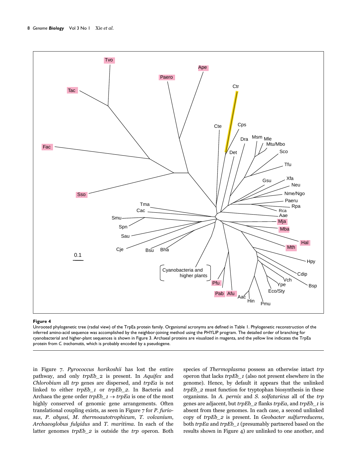

Unrooted phylogenetic tree (radial view) of the TrpEa protein family. Organismal acronyms are defined in Table 1. Phylogenetic reconstruction of the inferred amino-acid sequence was accomplished by the neighbor-joining method using the PHYLIP program. The detailed order of branching for cyanobacterial and higher-plant sequences is shown in Figure 3. Archaeal proteins are visualized in magenta, and the yellow line indicates the TrpEa protein from *C. trachomatis*, which is probably encoded by a pseudogene.

in Figure 7. Pyrococcus horikoshii has lost the entire pathway, and only trpEb\_2 is present. In Aquifex and Chlorobium all trp genes are dispersed, and trpEa is not linked to either trpEb\_1 or trpEb\_2. In Bacteria and Archaea the gene order  $trpEb_1 \rightarrow trpEa$  is one of the most highly conserved of genomic gene arrangements. Often translational coupling exists, as seen in Figure 7 for P. furiosus, P. abyssi, M. thermoautotrophicum, T. volcanium, Archaeoglobus fulgidus and T. maritima. In each of the latter genomes trpEb\_2 is outside the trp operon. Both species of Thermoplasma possess an otherwise intact trp operon that lacks trpEb\_1 (also not present elsewhere in the genome). Hence, by default it appears that the unlinked trpEb\_2 must function for tryptophan biosynthesis in these organisms. In A. pernix and S. solfataricus all of the trp genes are adjacent, but trpEb\_2 flanks trpEa, and trpEb\_1 is absent from these genomes. In each case, a second unlinked copy of trpEb\_2 is present. In Geobacter sulfurreducens, both *trpEa* and *trpEb\_1* (presumably partnered based on the results shown in Figure 4) are unlinked to one another, and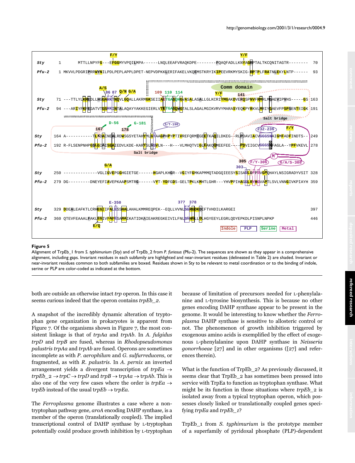

Alignment of TrpEb\_1 from *S. typhimurium* (Sty) and of TrpEb\_2 from *P. furiosus* (Pfu-2). The sequences are shown as they appear in a comprehensive alignment, including gaps. Invariant residues in each subfamily are highlighted and near-invariant residues (delineated in Table 2) are shaded. Invariant or near-invariant residues common to both subfamilies are boxed. Residues shown in Sty to be relevant to metal coordination or to the binding of indole, serine or PLP are color-coded as indicated at the bottom.

both are outside an otherwise intact trp operon. In this case it seems curious indeed that the operon contains *trpEb* 2.

A snapshot of the incredibly dynamic alteration of tryptophan gene organization in prokaryotes is apparent from Figure 7. Of the organisms shown in Figure 7, the most consistent linkage is that of trpAa and trpAb. In A. fulgidus trpD and trpB are fused, whereas in Rhodopseudomonas palustris trpAa and trpAb are fused. Operons are sometimes incomplete as with P. aerophilum and G. sulfurreducens, or fragmented, as with R. palustris. In A. pernix an inverted arrangement yields a divergent transcription of  $trpEa \rightarrow$  $trpEb_2 \rightarrow trpC \rightarrow trpD$  and  $trpB \rightarrow trpAa \rightarrow trpAb$ . This is also one of the very few cases where the order is  $trpEa \rightarrow$ trpEb instead of the usual trpEb  $\rightarrow$  trpEa.

The Ferroplasma genome illustrates a case where a nontryptophan pathway gene, aroA encoding DAHP synthase, is a member of the operon (translationally coupled). The implied transcriptional control of DAHP synthase by L-tryptophan potentially could produce growth inhibition by L-tryptophan

because of limitation of precursors needed for L-phenylalanine and L-tyrosine biosynthesis. This is because no other genes encoding DAHP synthase appear to be present in the genome. It would be interesting to know whether the Ferroplasma DAHP synthase is sensitive to allosteric control or not. The phenomenon of growth inhibition triggered by exogenous amino acids is exemplified by the effect of exogenous L-phenylalanine upon DAHP synthase in Neisseria gonorrhoeae [27] and in other organisms ([27] and references therein).

What is the function of TrpEb\_2? As previously discussed, it seems clear that TrpEb\_2 has sometimes been pressed into service with TrpEa to function as tryptophan synthase. What might be its function in those situations where  $trpEb\ 2$  is isolated away from a typical tryptophan operon, which possesses closely linked or translationally coupled genes specifying trpEa and trpEb\_1?

TrpEb\_1 from S. typhimurium is the prototype member of a superfamily of pyridoxal phosphate (PLP)-dependent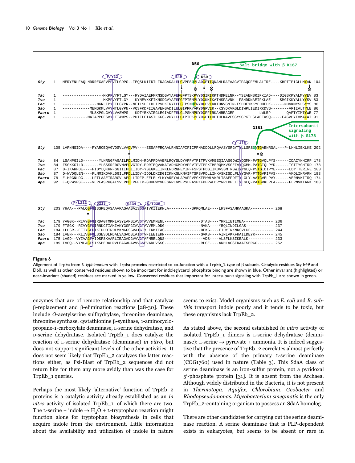

Alignment of TrpEa from S. *typhimurium w*ith TrpEa proteins restricted to co-function with a TrpEb\_2 type of ß subunit. Catalytic residues Sty E49 and D60, as well as other conserved residues shown to be important for indoleglycerol phosphate binding are shown in blue. Other invariant (highlighted) or near-invariant (shaded) residues are marked in yellow. Conserved residues that important for intersubunit signaling with TrpEb\_1 are shown in green.

enzymes that are of remote relationship and that catalyze β-replacement and β-elimination reactions [28-30]. These include O-acetylserine sulfhydrylase, threonine deaminase, threonine synthase, cystathionine β-synthase, 1-aminocyclopropane-1-carboxylate deaminase, L-serine dehydratase, and D-serine dehydratase. Isolated TrpEb\_1 does catalyze the reaction of L-serine dehydratase (deaminase) in vitro, but does not support significant levels of the other activities. It does not seem likely that TrpEb\_2 catalyzes the latter reactions either, as Psi-Blast of TrpEb\_2 sequences did not return hits for them any more avidly than was the case for TrpEb\_1 queries.

Perhaps the most likely 'alternative' function of TrpEb\_2 proteins is a catalytic activity already established as an in vitro activity of isolated TrpEb\_1, of which there are two. The L-serine + indole  $\rightarrow$  H<sub>2</sub>O + L-tryptophan reaction might function alone for tryptophan biosynthesis in cells that acquire indole from the environment. Little information about the availability and utilization of indole in nature

seems to exist. Model organisms such as E. coli and B. subtilis transport indole poorly and it tends to be toxic, but these organisms lack TrpEb\_2.

As stated above, the second established in vitro activity of isolated TrpEb\_1 dimers is L-serine dehydratase (deaminase): L-serine  $\rightarrow$  pyruvate + ammonia. It is indeed suggestive that the presence of TrpEb\_2 correlates almost perfectly with the absence of the primary L-serine deaminase (COG1760) used in nature (Table 3). This SdaA class of serine deaminase is an iron-sulfur protein, not a pyridoxal 5-phosphate protein [31]. It is absent from the Archaea. Although widely distributed in the Bacteria, it is not present in Thermotoga, Aquifex, Chlorobium, Geobacter and Rhodopseudomonas. Mycobacterium smegmatis is the only TrpEb\_2-containing organism to possess an SdaA homolog.

There are other candidates for carrying out the serine deaminase reaction. A serine deaminase that is PLP-dependent exists in eukaryotes, but seems to be absent or rare in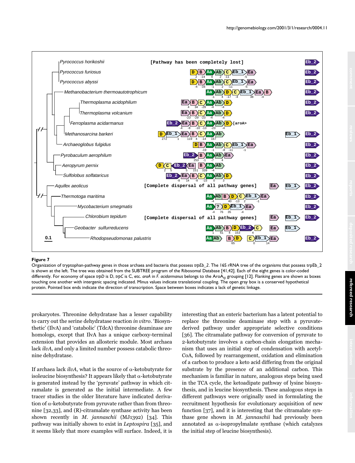

Organization of tryptophan-pathway genes in those archaea and bacteria that possess *trpEb\_2*. The 16S rRNA tree of the organisms that possess trpEb\_2 is shown at the left. The tree was obtained from the SUBTREE program of the Ribosomal Database [41,42]. Each of the eight genes is color-coded differently. For economy of space *trpD* is D, *trpC* is C, etc. *aroA* in *F. acidarmanus* belongs to the AroA<sub>Iβ</sub> grouping [12]. Flanking genes are shown as boxes touching one another with intergenic spacing indicated. Minus values indicate translational coupling. The open gray box is a conserved hypothetical protein. Pointed box ends indicate the direction of transcription. Space between boxes indicates a lack of genetic linkage.

prokaryotes. Threonine dehydratase has a lesser capability to carry out the serine dehydratase reaction in vitro. 'Biosynthetic' (IlvA) and 'catabolic' (TdcA) threonine deaminase are homologs, except that IlvA has a unique carboxy-terminal extension that provides an allosteric module. Most archaea lack *ilvA*, and only a limited number possess catabolic threonine dehydratase.

If archaea lack  $ilvA$ , what is the source of  $\alpha$ -ketobutyrate for isoleucine biosynthesis? It appears likely that  $\alpha$ -ketobutyrate is generated instead by the 'pyruvate' pathway in which citramalate is generated as the initial intermediate. A few tracer studies in the older literature have indicated derivation of  $\alpha$ -ketobutyrate from pyruvate rather than from threonine [32,33], and (R)-citramalate synthase activity has been shown recently in M. jannaschii (MJ1392) [34]. This pathway was initially shown to exist in Leptospira [35], and it seems likely that more examples will surface. Indeed, it is interesting that an enteric bacterium has a latent potential to replace the threonine deaminase step with a pyruvatederived pathway under appropriate selective conditions [36]. The citramalate pathway for conversion of pyruvate to 2-ketobutyrate involves a carbon-chain elongation mechanism that uses an initial step of condensation with acetyl-CoA, followed by rearrangement, oxidation and elimination of a carbon to produce a keto acid differing from the original substrate by the presence of an additional carbon. This mechanism is familiar in nature, analogous steps being used in the TCA cycle, the ketoadipate pathway of lysine biosynthesis, and in leucine biosynthesis. These analogous steps in different pathways were originally used in formulating the recruitment hypothesis for evolutionary acquisition of new function [37], and it is interesting that the citramalate synthase gene shown in  $M$ . jannaschii had previously been annotated as  $\alpha$ -isopropylmalate synthase (which catalyzes the initial step of leucine biosynthesis).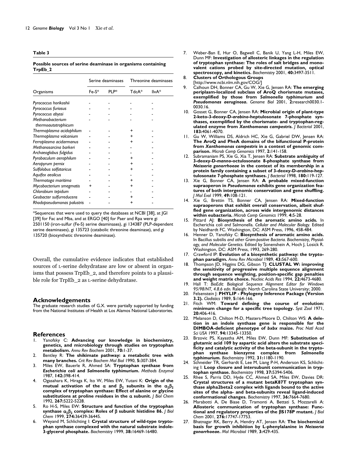**Table 3**

| Possible sources of serine deaminase in organisms containing |  |  |
|--------------------------------------------------------------|--|--|
| TrpEb_2                                                      |  |  |

|                                         | Serine deaminases |                   | Threonine deaminases |       |
|-----------------------------------------|-------------------|-------------------|----------------------|-------|
| Organisms                               | $Fe-S^*$          | PI <sub>P</sub> * | TdcA*                | llvA* |
| Pyrococcus horikoshii                   |                   |                   |                      |       |
| Pyrococcus furiosus                     |                   |                   |                      |       |
| Pyrococcus abyssi                       |                   |                   |                      |       |
| Methanobacterium<br>thermoautotrophicum |                   |                   |                      |       |
| Thermoplasma acidophilum                |                   |                   |                      |       |
| Thermoplasma volcanium                  |                   |                   |                      |       |
| Ferroplasma acidarmanus                 |                   |                   |                      |       |
| Methanosarcina barkeri                  |                   |                   |                      |       |
| Archaeoglobus fulgidus                  |                   |                   |                      |       |
| Pyrobaculum aerophilum                  |                   |                   |                      |       |
| Aeropyrum pernix                        |                   |                   |                      |       |
| Sulfolobus solfataricus                 |                   |                   |                      |       |
| Aquifex aeolicus                        |                   |                   |                      |       |
| Thermotoga maritima                     |                   |                   |                      |       |
| Mycobacterium smegmatis                 |                   |                   |                      |       |
| Chlorobium tepidum                      |                   |                   |                      |       |
| Geobacter sulfurreducens                |                   |                   |                      |       |
| Rhodopseudomonas palustris              |                   |                   |                      |       |

\*Sequences that were used to query the databases at NCBI [38], at JGI [39] for Fac and Mba, and at ERGO [40] for Paer and Rpa were gi 2501150 (iron-sulfur (Fe-S) serine deaminases), gi 134387 (PLP-dependent serine deaminases), gi 135723 (catabolic threonine deaminase), and gi 135720 (biosynthetic threonine deaminase).

Overall, the cumulative evidence indicates that established sources of L-serine dehydratase are low or absent in organisms that possess TrpEb\_2, and therefore points to a plausible role for TrpEb\_2 as L-serine dehydratase.

#### **Acknowledgements**

The graduate research studies of G.X. were partially supported by funding from the National Institutes of Health at Los Alamos National Laboratories.

## **References**<br>
1. Yanofsky C

- 1. Yanofsky C: **Advancing our knowledge in biochemistry, genetics, and microbiology through studies on tryptophan metabolism.** *Annu Rev Biochem* 2001, **70:**1-37.
- 2. Bentley R: **The shikimate pathway: a metabolic tree with many branches.** *Crit Rev Biochem Mol Biol* 1990, **5:**307-384.
- 3. Miles EW, Bauerle R, Ahmed SA: **Tryptophan synthase from** *Escherichia coli* **and** *Salmonella typhimurium***.** *Methods Enzymol* 1987, **142:**398-414.
- 4. Ogasahara K, Hiraga K, Ito W, Miles EW, Yutani K: **Origin of the** mutual activation of the  $\alpha$  and  $\beta_2$  subunits in the  $\alpha_2\beta_2$ **complex of tryptophan synthase: Effect of alanine or glycine substitutions at proline residues in the subunit.** *J Biol Chem* 1992, **267:**5222-5228.
- 5. Ro H-S, Miles EW: **Structure and function of the tryptophan synthase 2**-**<sup>2</sup> complex: Roles of** - **subunit histidine 86.** *J Biol Chem* 1999, **274:**36439-36445.
- 6. Weyand M, Schlichting I: **Crystal structure of wild-type tryptophan synthase complexed with the natural substrate indole-3-glycerol phosphate.** *Biochemistry* 1999, **38:**16469-16480.
- 7. Weber-Ban E, Hur O, Bagwell C, Banik U, Yang L-H, Miles EW, Dunn MF: **Investigation of allosteric linkages in the regulation of tryptophan synthase: The roles of salt bridges and monovalent cations probed by site-directed mutation, optical spectroscopy, and kinetics.** *Biochemistry* 2001, **40:**3497-3511.
- 8. **Clusters of Orthologous Groups**
- [http://www.ncbi.nlm.nih.gov/COG/] 9. Calhoun DH, Bonner CA, Gu W, Xie G, Jensen RA: **The emerging periplasm-localized subclass of AroQ chorismate mutases, exemplified by those from** *Salmonella typhimurium* **and** *Pseudomonas aeruginosa***.** *Genome Biol* 2001, **2:**research0030.1- 0030.16.
- 10. Gosset G, Bonner CA, Jensen RA: **Microbial origin of plant-type 2-keto-3-deoxy-D-***arabino***-heptulosonate 7-phosphate synthases, exemplified by the chorismate- and tryptophan-regulated enzyme from** *Xanthomonas campestris***.** *J Bacteriol* 2001, **183:**4061-4070.
- 11. Gu W, Williams DS, Aldrich HC, Xie G, Gabriel DW, Jensen RA: **The AroQ and PheA domains of the bifunctional P-protein from** *Xanthomonas campestris* **in a context of genomic comparison.** *Microb Comp Genomics* 1997, **2:**141-158.
- 12. Subramaniam PS, Xie G, Xia T, Jensen RA: **Substrate ambiguity of 3-deoxy-D-***manno***-octulosonate 8-phosphate synthase from** *Neisseria gonorrhoeae* **in the context of its membership in a protein family containing a subset of 3-deoxy-D-***arabino***-heptulosonate 7-phosphate synthases.** *J Bacteriol* 1998, **180:**119-127.
- 13. Xie G, Bonner CA, Jensen RA: **A probable mixed-function supraoperon in** *Pseudomonas* **exhibits gene organization features of both intergenomic conservation and gene shuffling.** *J Mol Evol* 1999, **49:**108-121.
- 14. Xie G, Brettin TS, Bonner CA, Jensen RA: **Mixed-function supraoperons that exhibit overall conservation, albeit shuffled gene organization, across wide intergenomic distances within eubacteria.** *Microb Comp Genomics* 1999, **4:**5-28.
- 15. Pittard AJ: **Biosynthesis of the aromatic amino acids.** In Escherichia coli *and* Salmonella. *Cellular and Molecular Biology.* Edited by Neidhardt FC. Washington, DC: ASM Press, 1996, 458-484.
- 16. Henner D, Yanofsky C: **Biosynthesis of aromatic amino acids.** In Bacillus subtilis *and other Gram-positive Bacteria. Biochemistry, Physiology, and Molecular Genetics.* Edited by Sonenshein A, Hoch J, Losick R. Washington, DC: ASM Press, 1993, 269-280.
- 17. Crawford IP: **Evolution of a biosynthetic pathway: the tryptophan paradigm.** *Annu Rev Microbiol* 1989, **43:**567-600.
- 18. Thompson JD, Higgins DG, Gibson TJ: **CLUSTAL W: improving the sensitivity of progressive multiple sequence alignment through sequence weighting, position-specific gap penalties and weight matrix choice.** *Nucleic Acids Res* 1994, **22:**4673-4680.
- 19. Hall T: *BioEdit: Biological Sequence Alignment Editor for Windows 95/98/NT, 4.8.6 edn.* Raleigh: North Carolina State University; 2000.
- 20. Felsenstein J: **PHYLIP Phylogeny Inference Package (Version 3.2).** *Cladistics* 1989, **5:**164-166.
- 21. Fitch WM: **Toward defining the course of evolution: minimum change for a specific tree topology.** *Syst Zool* 1971, **20:**406-416.
- 22. Melanson D, Chilton M-D, Masters-Moore D, Chilton WS: **A deletion in an indole synthase gene is responsible for the DIMBOA-deficient phenotype of** *bxbx* **maize.** *Proc Natl Acad Sci USA* 1997, **94:**13345-13350.
- 23. Brzovic PS, Kayastha AM, Miles EW, Dunn MF: **Substitution of glutamic acid 109 by aspartic acid alters the substrate specificity and catalytic activity of the beta-subunit in the tryptophan synthase bienzyme complex from** *Salmonella typhimurium. Biochemistry* 1992, **31:**1180-1190.
- Schneider TR, Gerhardt E, Lee M, Liang P-H, Anderson KS, Schlichting I: **Loop closure and intersubunit communication in tryptophan synthase.** *Biochemistry* 1998, **37:**5394-5406.
- 25. Rhee S, Parris DD, Hyde CC, Ahmed SA, Miles EW, Davies DR: **Crystal structures of a mutant betaK87T tryptophan synthase alpha2beta2 complex with ligands bound to the active sites of the alpha- and beta-subunits reveal ligand-induced conformational changes.** *Biochemistry* 1997, **36:**7664-7680.
- 26. Marabotti A, De Biase D, Tramonti A, Bettati S, Mozzarelli A: **Allosteric communication of tryptophan synthase: Functional and regulatory properties of the** -**S178P mutant.** *J Biol Chem* 2001, **276:**17747-17753.
- 27. Bhatnagar RK, Berry A, Hendry AT, Jensen RA: **The biochemical basis for growth inhibition by L-phenylalanine in** *Neisseria gonorrhoeae***.** *Mol Microbiol* 1989, **3:**429-435.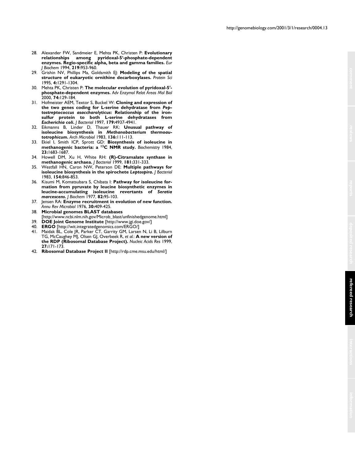- 28. Alexander FW, Sandmeier E, Mehta PK, Christen P: **Evolutionary relationships among pyridoxal-5-phosphate-dependent enzymes. Regio-specific alpha, beta and gamma families.** *Eur J Biochem* 1994, **219:**953-960.
- 29. Grishin NV, Phillips Ma, Goldsmith EJ: **Modeling of the spatial structure of eukaryotic ornithine decarboxylases.** *Protein Sci* 1995, **4:**1291-1304.
- 30. Mehta PK, Christen P: **The molecular evolution of pyridoxal-5 phosphate-dependent enzymes.** *Adv Enzymol Relat Areas Mol Biol* 2000, **74:**129-184.
- 31. Hofmeister AEM, Textor S, Buckel W: **Cloning and expression of the two genes coding for L-serine dehydratase from** *Peptostreptococcus asaccharolyticus***: Relationship of the ironsulfur protein to both L-serine dehydratases from** *Escherichia coli***.** *J Bacteriol* 1997, **179:**4937-4941.
- 32. Eikmanns B, Linder D, Thauer RK: **Unusual pathway of isoleucine biosynthesis in** *Methanobacterium thermoautotrophicum***.** *Arch Microbiol* 1983, **136:**111-113.
- 33. Ekiel I, Smith ICP, Sprott GD: **Biosynthesis of isoleucine in methanogenic bacteria: a 13C NMR study.** *Biochemistry* 1984, **23:**1683-1687.
- 34. Howell DM, Xu H, White RH: **(R)-Citramalate synthase in methanogenic archaea.** *J Bacteriol* 1999, **181:**331-333.
- 35. Westfall HN, Caron NW, Peterson DE: **Multiple pathways for isoleucine biosynthesis in the spirochete** *Leptospira***.** *J Bacteriol* 1983, **154:**846-853.
- 36. Kisumi M, Komatsubara S, Chibata I: **Pathway for isoleucine formation from pyruvate by leucine biosynthetic enzymes in leucine-accumulating isoleucine revertants of** *Seratia marcescens***.** *J Biochem* 1977, **82:**95-103.
- 37. Jensen RA: **Enzyme recruitment in evolution of new function.** *Annu Rev Microbiol* 1976, **30:**409-425.
- 38. **Microbial genomes BLAST databases** [http://www.ncbi.nlm.nih.gov/Microb\_blast/unfinishedgenome.html]
- 39. **DOE Joint Genome Institute** [http://www.jgi.doe.gov/]
- 40. **ERGO** [http://wit.integratedgenomics.com/ERGO/]
- 41. Maidak BL, Cole JR, Parker CT, Garrity GM, Larsen N, Li B, Lilburn TG, McCaughey MJ, Olsen GJ, Overbeek R, *et al.*: **A new version of the RDP (Ribosomal Database Project).** *Nucleic Acids Res* 1999, **27:**171-173.
- 42. **Ribosomal Database Project II** [http://rdp.cme.msu.edu/html/]